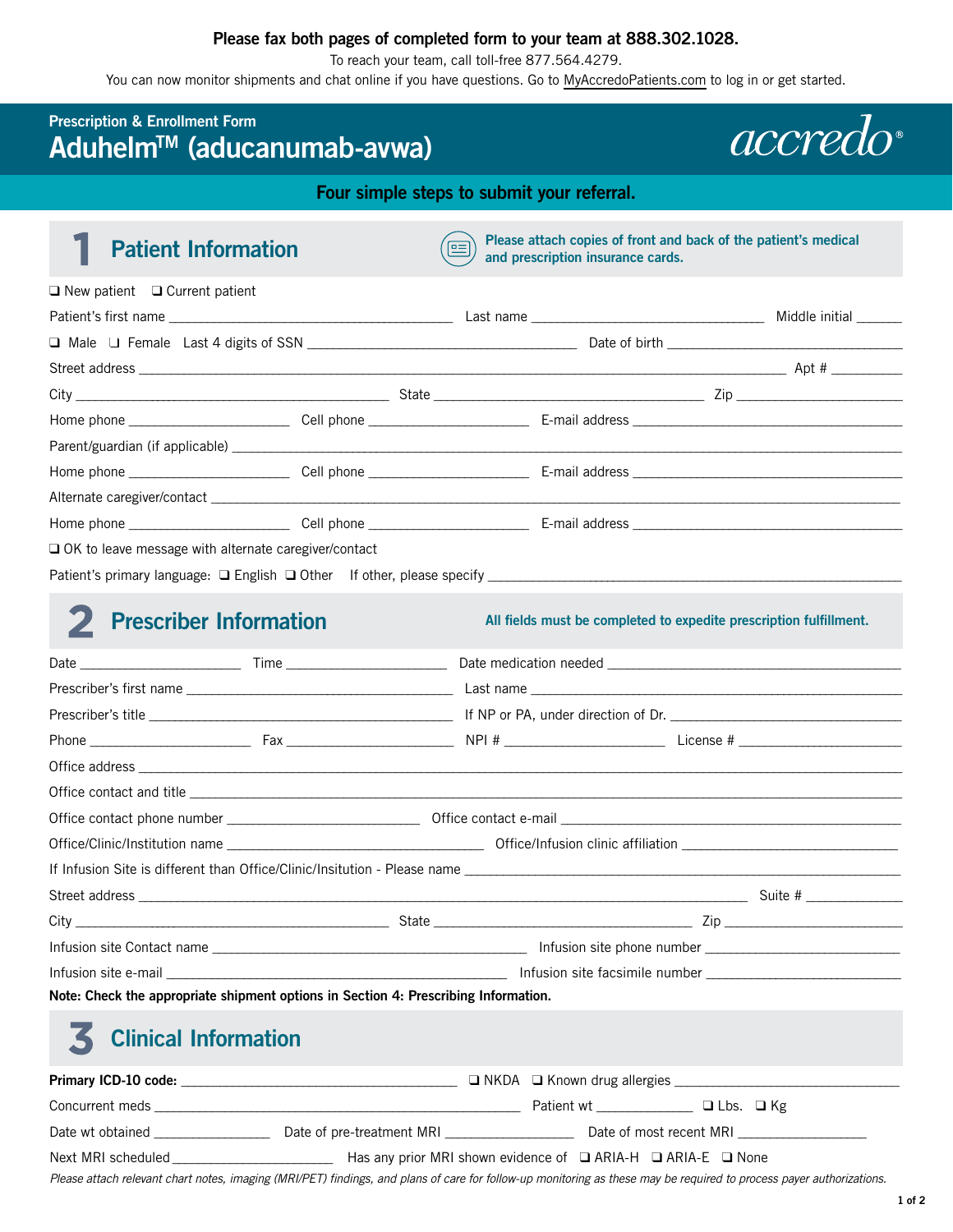### **Please fax both pages of completed form to your team at 888.302.1028.**

To reach your team, call toll-free 877.564.4279.

You can now monitor shipments and chat online if you have questions. Go to [MyAccredoPatients.com](https://prescribers.accredo.com/frontend/apw/login) to log in or get started.

## **Prescription & Enrollment Form AduhelmTM (aducanumab-avwa)**

*accredo* 

**Four simple steps to submit your referral.** 

|  |  | <b>Patient Information</b> |  |
|--|--|----------------------------|--|
|--|--|----------------------------|--|

**Please attach copies of front and back of the patient's medical and prescription insurance cards.** 

| $\Box$ New patient $\Box$ Current patient                                        |  |  |
|----------------------------------------------------------------------------------|--|--|
|                                                                                  |  |  |
|                                                                                  |  |  |
|                                                                                  |  |  |
|                                                                                  |  |  |
|                                                                                  |  |  |
|                                                                                  |  |  |
|                                                                                  |  |  |
|                                                                                  |  |  |
|                                                                                  |  |  |
| $\Box$ OK to leave message with alternate caregiver/contact                      |  |  |
| Patient's primary language: $\Box$ English $\Box$ Other If other, please specify |  |  |

## 2 Prescriber Information

All fields must be completed to expedite prescription fulfillment.

| Note: Check the appropriate shipment options in Section 4: Prescribing Information. |                                                                                                                                                                                                                                   |  |  |  |
|-------------------------------------------------------------------------------------|-----------------------------------------------------------------------------------------------------------------------------------------------------------------------------------------------------------------------------------|--|--|--|
| <b>Clinical Information</b>                                                         |                                                                                                                                                                                                                                   |  |  |  |
|                                                                                     |                                                                                                                                                                                                                                   |  |  |  |
|                                                                                     |                                                                                                                                                                                                                                   |  |  |  |
|                                                                                     | $\mathbb{R}$ . The set of the set of the set of the set of the set of the set of the set of the set of the set of the set of the set of the set of the set of the set of the set of the set of the set of the set of the set of t |  |  |  |

Date wt obtained \_\_\_\_\_\_\_\_\_\_\_\_\_\_\_\_\_\_ Date of pre-treatment MRI \_\_\_\_\_\_\_\_\_\_\_\_\_\_\_\_\_\_\_\_ Date of most recent MRI \_\_\_\_\_\_\_\_\_\_\_\_\_\_\_\_\_\_\_\_

Next MRI scheduled \_\_\_\_\_\_\_\_\_\_\_\_\_\_\_\_\_\_\_\_\_\_\_\_\_ Has any prior MRI shown evidence of ❑ ARIA-H ❑ ARIA-E ❑ None

Please attach relevant chart notes, imaging (MRI/PET) findings, and plans of care for follow-up monitoring as these may be required to process payer authorizations.